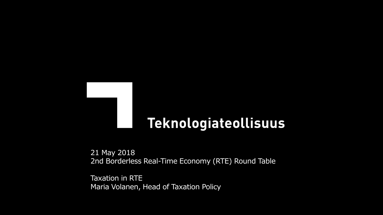# Teknologiateollisuus

21 May 2018 2nd Borderless Real-Time Economy (RTE) Round Table

Taxation in RTE Maria Volanen, Head of Taxation Policy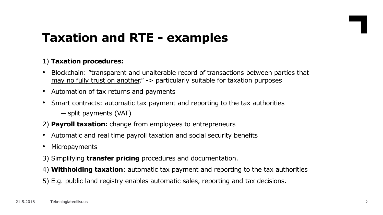## **Taxation and RTE - examples**

### 1) **Taxation procedures:**

- Blockchain: "transparent and unalterable record of transactions between parties that may no fully trust on another." -> particularly suitable for taxation purposes
- Automation of tax returns and payments
- Smart contracts: automatic tax payment and reporting to the tax authorities
	- split payments (VAT)
- 2) **Payroll taxation:** change from employees to entrepreneurs
- Automatic and real time payroll taxation and social security benefits
- Micropayments
- 3) Simplifying **transfer pricing** procedures and documentation.
- 4) **Withholding taxation**: automatic tax payment and reporting to the tax authorities
- 5) E.g. public land registry enables automatic sales, reporting and tax decisions.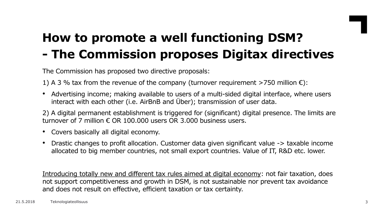

# **How to promote a well functioning DSM? - The Commission proposes Digitax directives**

The Commission has proposed two directive proposals:

- 1) A 3 % tax from the revenue of the company (turnover requirement >750 million  $\epsilon$ ):
- Advertising income; making available to users of a multi-sided digital interface, where users interact with each other (i.e. AirBnB and Über); transmission of user data.

2) A digital permanent establishment is triggered for (significant) digital presence. The limits are turnover of 7 million  $\epsilon$  OR 100.000 users OR 3.000 business users.

- Covers basically all digital economy.
- Drastic changes to profit allocation. Customer data given significant value -> taxable income allocated to big member countries, not small export countries. Value of IT, R&D etc. lower.

Introducing totally new and different tax rules aimed at digital economy: not fair taxation, does not support competitiveness and growth in DSM, is not sustainable nor prevent tax avoidance and does not result on effective, efficient taxation or tax certainty.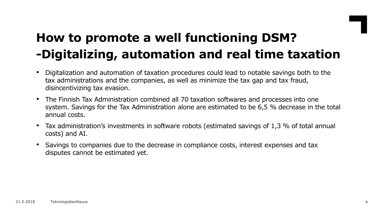## **How to promote a well functioning DSM? -Digitalizing, automation and real time taxation**

- Digitalization and automation of taxation procedures could lead to notable savings both to the tax administrations and the companies, as well as minimize the tax gap and tax fraud, disincentivizing tax evasion.
- The Finnish Tax Administration combined all 70 taxation softwares and processes into one system. Savings for the Tax Administration alone are estimated to be 6,5 % decrease in the total annual costs.
- Tax administration's investments in software robots (estimated savings of 1,3 % of total annual costs) and AI.
- Savings to companies due to the decrease in compliance costs, interest expenses and tax disputes cannot be estimated yet.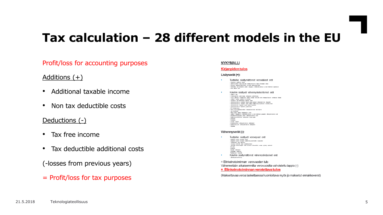## **Tax calculation – 28 different models in the EU**

### Profit/loss for accounting purposes

### Additions  $(+)$

- Additional taxable income
- Non tax deductible costs

### Deductions (-)

- Tax free income
- Tax deductible additional costs
- (-losses from previous years)
- = Profit/loss for tax purposes

### **NYKYMALLI**

### **Kirjanpidon tulos**

#### Lisäyserät (+):

- Tuottoihin sisältymättömät veronalaiset erät 1 LUVILUM III 1 JOSCINY I IISLAVI I I LE VOI VI ISISLISEL TEI SIL<br>+ Hypnisis papille Lii ili ili ili ili samastuken lyku de kassas Liki)<br>+ Libraus ankarineišjalisis il maan ankarykymis<br>+ Libraus ankarineišjalisis<br>+ aur alp
- Kuluihin sisältwät vähennyskelvottomat erät  $\begin{minipage}[t]{0.00\textwidth} \begin{minipage}[t]{0.00\textwidth} \begin{itemize} \textbf{V} & \textbf{M} & \textbf{M} & \textbf{M} & \textbf{M} \\ \textbf{W} & \textbf{M} & \textbf{M} & \textbf{M} & \textbf{M} & \textbf{M} \\ \textbf{W} & \textbf{M} & \textbf{M} & \textbf{M} & \textbf{M} & \textbf{M} & \textbf{M} \\ \textbf{W} & \textbf{M} & \textbf{M} & \textbf{M} & \textbf{M} & \textbf{M} & \textbf{M} & \textbf{M$ + publication  $i$  frequence -vanuain lichtes<br>• kasarissamisten + vaatan sapos<br>+ konorisaanisten vähenyskilvallanut alatkijaiset<br>+ nihalasmakuuden vähenyskilvallanut alatkijaiset

#### Vähennyserät (-):

Tuottoihin sisältyvät verovapaat erät -askeykön samat vesepest ainpit<br>-askeykön samat vesepest köytämaisuusaskivisten luoutuvalat – heldöjrillisti sotu välkosuu:<br>– venepast ulomaila sonti suomijoiksosingot<br>– kolmiselle aldustuolojelle vallan tai Suome aldusellilliön vanlaa myönnely tuomiselli - Karrasako adulasusi<br>- Rakudib<br>- Kaskudib<br>- Vanualar väempisest -Hyjakiain Kyläninen<br>-Railiakimion kaaivälö Kuluihin sisältymättömät vähennyskelpoiset erät  $\mathbf{r}$ - illmásúdóa@any

= Elinkeinotoiminnan verovuoden tulo Vähennetään aikaisemmilta verovuosilta vahvistettu tappio (-) = Elinkeinotoiminnan verotettava tulos

(Maksettavaa veroa laskettaessa huomioitava myös jo maksetut ennakkoverot)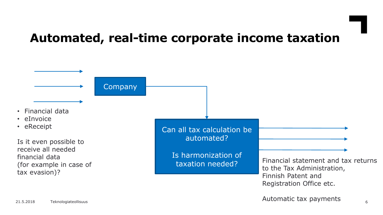## **Automated, real-time corporate income taxation**